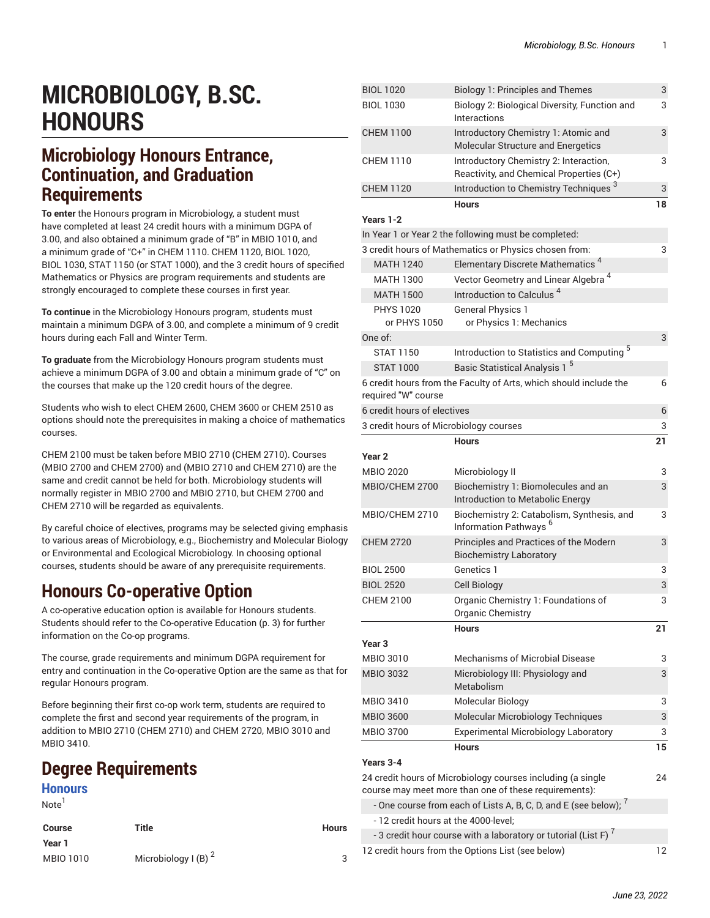# **MICROBIOLOGY, B.SC. HONOURS**

### **Microbiology Honours Entrance, Continuation, and Graduation Requirements**

**To enter** the Honours program in Microbiology, a student must have completed at least 24 credit hours with a minimum DGPA of 3.00, and also obtained a minimum grade of "B" in MBIO 1010, and a minimum grade of "C+" in CHEM 1110. CHEM 1120, BIOL 1020, BIOL 1030, STAT 1150 (or STAT 1000), and the 3 credit hours of specified Mathematics or Physics are program requirements and students are strongly encouraged to complete these courses in first year.

**To continue** in the Microbiology Honours program, students must maintain a minimum DGPA of 3.00, and complete a minimum of 9 credit hours during each Fall and Winter Term.

**To graduate** from the Microbiology Honours program students must achieve a minimum DGPA of 3.00 and obtain a minimum grade of "C" on the courses that make up the 120 credit hours of the degree.

Students who wish to elect CHEM 2600, CHEM 3600 or CHEM 2510 as options should note the prerequisites in making a choice of mathematics courses.

CHEM 2100 must be taken before MBIO 2710 (CHEM 2710). Courses (MBIO 2700 and CHEM 2700) and (MBIO 2710 and CHEM 2710) are the same and credit cannot be held for both. Microbiology students will normally register in MBIO 2700 and MBIO 2710, but CHEM 2700 and CHEM 2710 will be regarded as equivalents.

By careful choice of electives, programs may be selected giving emphasis to various areas of Microbiology, e.g., Biochemistry and Molecular Biology or Environmental and Ecological Microbiology. In choosing optional courses, students should be aware of any prerequisite requirements.

# **Honours Co-operative Option**

A co-operative education option is available for Honours students. Students should refer to the [Co-operative](#page-2-0) Education [\(p. 3](#page-2-0)) for further information on the Co-op programs.

The course, grade requirements and minimum DGPA requirement for entry and continuation in the Co-operative Option are the same as that for regular Honours program.

Before beginning their first co-op work term, students are required to complete the first and second year requirements of the program, in addition to MBIO 2710 (CHEM 2710) and CHEM 2720, MBIO 3010 and MBIO 3410.

# **Degree Requirements**

### **Honours**

Note<sup>1</sup>

| Course    | Title                           | <b>Hours</b> |
|-----------|---------------------------------|--------------|
| Year 1    |                                 |              |
| MBIO 1010 | Microbiology I (B) <sup>2</sup> | 3            |

| <b>BIOL 1020</b>                       | <b>Biology 1: Principles and Themes</b>                                            | 3  |
|----------------------------------------|------------------------------------------------------------------------------------|----|
| <b>BIOL 1030</b>                       | Biology 2: Biological Diversity, Function and<br>Interactions                      | 3  |
| <b>CHEM 1100</b>                       | Introductory Chemistry 1: Atomic and<br>Molecular Structure and Energetics         | 3  |
| <b>CHEM 1110</b>                       | Introductory Chemistry 2: Interaction,<br>Reactivity, and Chemical Properties (C+) | 3  |
| <b>CHEM 1120</b>                       | Introduction to Chemistry Techniques <sup>3</sup>                                  | 3  |
|                                        | <b>Hours</b>                                                                       | 18 |
| Years 1-2                              |                                                                                    |    |
|                                        | In Year 1 or Year 2 the following must be completed:                               |    |
|                                        | 3 credit hours of Mathematics or Physics chosen from:                              | 3  |
| <b>MATH 1240</b>                       | Elementary Discrete Mathematics <sup>4</sup>                                       |    |
| <b>MATH 1300</b>                       | Vector Geometry and Linear Algebra <sup>4</sup>                                    |    |
| <b>MATH 1500</b>                       | Introduction to Calculus <sup>4</sup>                                              |    |
| <b>PHYS 1020</b><br>or PHYS 1050       | <b>General Physics 1</b><br>or Physics 1: Mechanics                                |    |
| One of:                                |                                                                                    | 3  |
| <b>STAT 1150</b>                       | Introduction to Statistics and Computing <sup>5</sup>                              |    |
| <b>STAT 1000</b>                       | Basic Statistical Analysis 1 <sup>5</sup>                                          |    |
| required "W" course                    | 6 credit hours from the Faculty of Arts, which should include the                  | 6  |
| 6 credit hours of electives            |                                                                                    | 6  |
| 3 credit hours of Microbiology courses |                                                                                    | 3  |
|                                        | <b>Hours</b>                                                                       | 21 |
| Year <sub>2</sub>                      |                                                                                    |    |
| <b>MBIO 2020</b>                       | Microbiology II                                                                    | 3  |
| MBIO/CHEM 2700                         | Biochemistry 1: Biomolecules and an<br>Introduction to Metabolic Energy            | 3  |
| MBIO/CHEM 2710                         | Biochemistry 2: Catabolism, Synthesis, and<br>Information Pathways <sup>6</sup>    | 3  |
| <b>CHEM 2720</b>                       | Principles and Practices of the Modern<br><b>Biochemistry Laboratory</b>           | 3  |
| <b>BIOL 2500</b>                       | Genetics 1                                                                         | 3  |
| <b>BIOL 2520</b>                       | <b>Cell Biology</b>                                                                | 3  |
| <b>CHEM 2100</b>                       | Organic Chemistry 1: Foundations of<br>Organic Chemistry                           | 3  |
| Year <sub>3</sub>                      | <b>Hours</b>                                                                       | 21 |
| <b>MBIO 3010</b>                       | <b>Mechanisms of Microbial Disease</b>                                             | 3  |
| <b>MBIO 3032</b>                       | Microbiology III: Physiology and<br>Metabolism                                     | 3  |
| MBIO 3410                              | Molecular Biology                                                                  | 3  |
| <b>MBIO 3600</b>                       | Molecular Microbiology Techniques                                                  | 3  |
| <b>MBIO 3700</b>                       | <b>Experimental Microbiology Laboratory</b>                                        | 3  |
|                                        | <b>Hours</b>                                                                       | 15 |
| Years 3-4                              |                                                                                    |    |
|                                        | 24 credit hours of Microbiology courses including (a single                        | 24 |
|                                        | course may meet more than one of these requirements):                              |    |
|                                        | - One course from each of Lists A, B, C, D, and E (see below); $^7$                |    |
| - 12 credit hours at the 4000-level;   |                                                                                    |    |
|                                        | - 3 credit hour course with a laboratory or tutorial (List F) $^7$                 |    |
|                                        | 12 credit hours from the Options List (see below)                                  | 12 |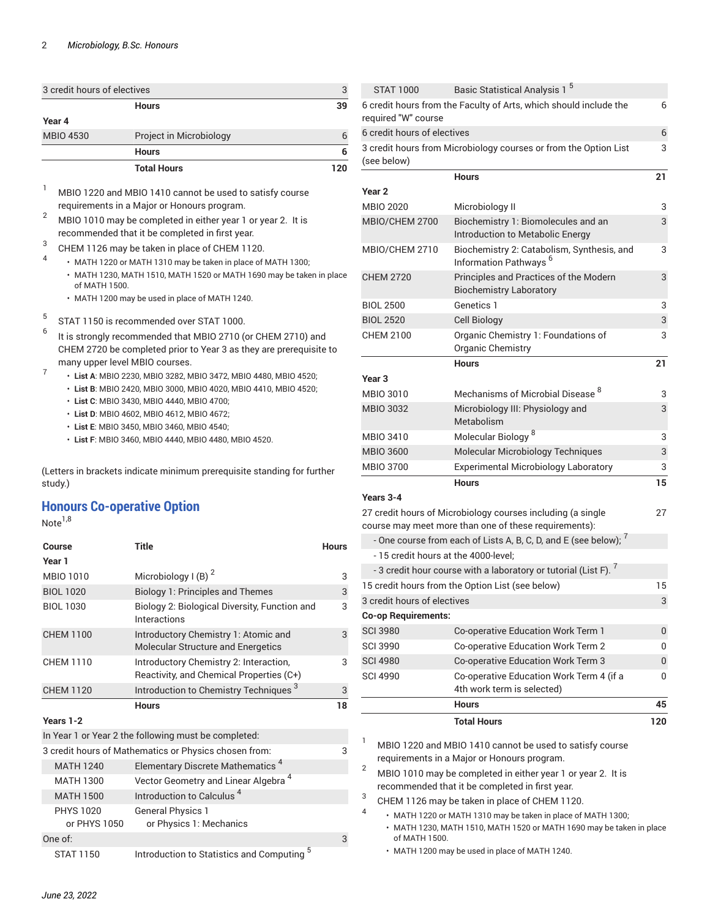|                             | <b>Total Hours</b>      |    |
|-----------------------------|-------------------------|----|
|                             | <b>Hours</b>            |    |
| <b>MBIO 4530</b>            | Project in Microbiology |    |
| Year 4                      |                         |    |
|                             | <b>Hours</b>            | 39 |
| 3 credit hours of electives |                         | 3  |

<sup>1</sup> MBIO 1220 and MBIO 1410 cannot be used to satisfy course requirements in a Major or Honours program.

 $\frac{2}{3}$  MBIO 1010 may be completed in either year 1 or year 2. It is recommended that it be completed in first year.

- 3 CHEM 1126 may be taken in place of CHEM 1120. 4
	- MATH 1220 or MATH 1310 may be taken in place of MATH 1300;
		- MATH 1230, MATH 1510, MATH 1520 or MATH 1690 may be taken in place of MATH 1500.
		- MATH 1200 may be used in place of MATH 1240.
- 5 STAT 1150 is recommended over STAT 1000.
- 6 It is strongly recommended that MBIO 2710 (or CHEM 2710) and CHEM 2720 be completed prior to Year 3 as they are prerequisite to many upper level MBIO courses. 7
	- **List A**: MBIO 2230, MBIO 3282, MBIO 3472, MBIO 4480, MBIO 4520;
	- **List B**: MBIO 2420, MBIO 3000, MBIO 4020, MBIO 4410, MBIO 4520;
	- **List C**: MBIO 3430, MBIO 4440, MBIO 4700;
	- **List D**: MBIO 4602, MBIO 4612, MBIO 4672;
	- **List E**: MBIO 3450, MBIO 3460, MBIO 4540;
	- **List F**: MBIO 3460, MBIO 4440, MBIO 4480, MBIO 4520.

(Letters in brackets indicate minimum prerequisite standing for further study.)

### **Honours Co-operative Option**

 $Note<sup>1,8</sup>$ 

| Course                           | <b>Title</b>                                                                       | <b>Hours</b> |
|----------------------------------|------------------------------------------------------------------------------------|--------------|
| Year 1                           |                                                                                    |              |
| MBIO 1010                        | Microbiology I (B) $2$                                                             | 3            |
| <b>BIOL 1020</b>                 | <b>Biology 1: Principles and Themes</b>                                            | 3            |
| <b>BIOL 1030</b>                 | Biology 2: Biological Diversity, Function and<br>Interactions                      | 3            |
| <b>CHEM 1100</b>                 | Introductory Chemistry 1: Atomic and<br><b>Molecular Structure and Energetics</b>  | 3            |
| <b>CHEM 1110</b>                 | Introductory Chemistry 2: Interaction,<br>Reactivity, and Chemical Properties (C+) | 3            |
| <b>CHEM 1120</b>                 | Introduction to Chemistry Techniques <sup>3</sup>                                  | 3            |
|                                  |                                                                                    |              |
|                                  | <b>Hours</b>                                                                       | 18           |
| Years 1-2                        |                                                                                    |              |
|                                  | In Year 1 or Year 2 the following must be completed:                               |              |
|                                  | 3 credit hours of Mathematics or Physics chosen from:                              | 3            |
| <b>MATH 1240</b>                 | Elementary Discrete Mathematics <sup>4</sup>                                       |              |
| <b>MATH 1300</b>                 | Vector Geometry and Linear Algebra <sup>4</sup>                                    |              |
| <b>MATH 1500</b>                 | Introduction to Calculus <sup>4</sup>                                              |              |
| <b>PHYS 1020</b><br>or PHYS 1050 | <b>General Physics 1</b><br>or Physics 1: Mechanics                                |              |
| One of:                          |                                                                                    | 3            |

| STAT 1000                            | Basic Statistical Analysis 1 <sup>5</sup>                                                                            |     |
|--------------------------------------|----------------------------------------------------------------------------------------------------------------------|-----|
| required "W" course                  | 6 credit hours from the Faculty of Arts, which should include the                                                    | 6   |
| 6 credit hours of electives          |                                                                                                                      | 6   |
| (see below)                          | 3 credit hours from Microbiology courses or from the Option List                                                     | 3   |
|                                      | <b>Hours</b>                                                                                                         | 21  |
| Year <sub>2</sub>                    |                                                                                                                      |     |
| <b>MBIO 2020</b>                     | Microbiology II                                                                                                      | 3   |
| MBIO/CHEM 2700                       | Biochemistry 1: Biomolecules and an<br>Introduction to Metabolic Energy                                              | 3   |
| MBIO/CHEM 2710                       | Biochemistry 2: Catabolism, Synthesis, and<br>Information Pathways <sup>6</sup>                                      | 3   |
| <b>CHEM 2720</b>                     | Principles and Practices of the Modern<br><b>Biochemistry Laboratory</b>                                             | 3   |
| <b>BIOL 2500</b>                     | Genetics 1                                                                                                           | 3   |
| <b>BIOL 2520</b>                     | Cell Biology                                                                                                         | 3   |
| <b>CHEM 2100</b>                     | Organic Chemistry 1: Foundations of<br>Organic Chemistry                                                             | 3   |
|                                      | <b>Hours</b>                                                                                                         | 21  |
| Year <sub>3</sub>                    |                                                                                                                      |     |
| <b>MBIO 3010</b>                     | Mechanisms of Microbial Disease <sup>8</sup>                                                                         | 3   |
| <b>MBIO 3032</b>                     | Microbiology III: Physiology and<br>Metabolism                                                                       | 3   |
| <b>MBIO 3410</b>                     | Molecular Biology <sup>8</sup>                                                                                       | 3   |
| <b>MBIO 3600</b>                     | Molecular Microbiology Techniques                                                                                    | 3   |
| <b>MBIO 3700</b>                     | <b>Experimental Microbiology Laboratory</b>                                                                          | 3   |
|                                      | <b>Hours</b>                                                                                                         | 15  |
| Years 3-4                            |                                                                                                                      |     |
|                                      | 27 credit hours of Microbiology courses including (a single<br>course may meet more than one of these requirements): | 27  |
|                                      | - One course from each of Lists A, B, C, D, and E (see below); $^7$                                                  |     |
| - 15 credit hours at the 4000-level; |                                                                                                                      |     |
|                                      | - 3 credit hour course with a laboratory or tutorial (List F). $^\prime$                                             |     |
|                                      | 15 credit hours from the Option List (see below)                                                                     | 15  |
| 3 credit hours of electives          |                                                                                                                      | 3   |
| <b>Co-op Requirements:</b>           |                                                                                                                      |     |
| <b>SCI 3980</b>                      | Co-operative Education Work Term 1                                                                                   | 0   |
| <b>SCI 3990</b>                      | Co-operative Education Work Term 2                                                                                   | 0   |
| <b>SCI 4980</b>                      | Co-operative Education Work Term 3                                                                                   | 0   |
| <b>SCI 4990</b>                      | Co-operative Education Work Term 4 (if a<br>4th work term is selected)                                               | 0   |
|                                      | Hours                                                                                                                | 45  |
|                                      | <b>Total Hours</b>                                                                                                   | 120 |
|                                      |                                                                                                                      |     |

 $1$  MBIO 1220 and MBIO 1410 cannot be used to satisfy course requirements in a Major or Honours program.

<sup>2</sup> MBIO 1010 may be completed in either year 1 or year 2. It is recommended that it be completed in first year.

3 CHEM 1126 may be taken in place of CHEM 1120.

4

- MATH 1220 or MATH 1310 may be taken in place of MATH 1300;
- MATH 1230, MATH 1510, MATH 1520 or MATH 1690 may be taken in place of MATH 1500.
- MATH 1200 may be used in place of MATH 1240.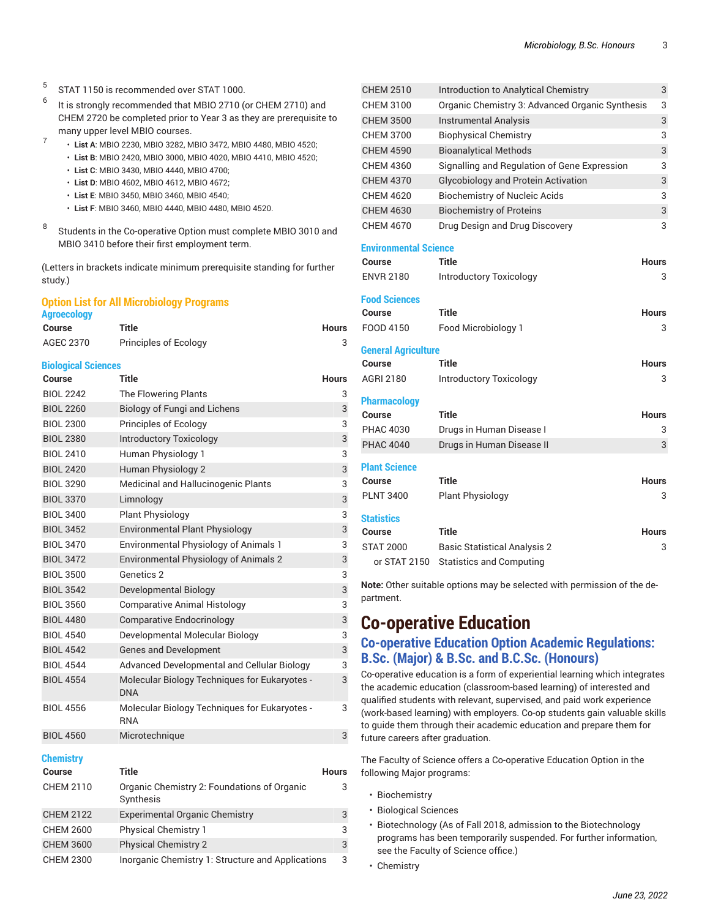- 5 STAT 1150 is recommended over STAT 1000.
- 6 It is strongly recommended that MBIO 2710 (or CHEM 2710) and CHEM 2720 be completed prior to Year 3 as they are prerequisite to many upper level MBIO courses. 7
	- **List A**: MBIO 2230, MBIO 3282, MBIO 3472, MBIO 4480, MBIO 4520;
		- **List B**: MBIO 2420, MBIO 3000, MBIO 4020, MBIO 4410, MBIO 4520;
		- **List C**: MBIO 3430, MBIO 4440, MBIO 4700;
		- **List D**: MBIO 4602, MBIO 4612, MBIO 4672;
		- **List E**: MBIO 3450, MBIO 3460, MBIO 4540;
		- **List F**: MBIO 3460, MBIO 4440, MBIO 4480, MBIO 4520.
- 8 Students in the Co-operative Option must complete MBIO 3010 and MBIO 3410 before their first employment term.

(Letters in brackets indicate minimum prerequisite standing for further study.)

#### **Option List for All Microbiology Programs**

| <b>Agroecology</b> |                       |       |  |
|--------------------|-----------------------|-------|--|
| Course             | Title                 | Hours |  |
| AGEC 2370          | Principles of Ecology |       |  |

#### **Biological Sciences**

| Course           | <b>Title</b>                                                       | <b>Hours</b> |
|------------------|--------------------------------------------------------------------|--------------|
| <b>BIOL 2242</b> | The Flowering Plants                                               | 3            |
| <b>BIOL 2260</b> | <b>Biology of Fungi and Lichens</b>                                | 3            |
| <b>BIOL 2300</b> | Principles of Ecology                                              | 3            |
| <b>BIOL 2380</b> | <b>Introductory Toxicology</b>                                     | 3            |
| <b>BIOL 2410</b> | Human Physiology 1                                                 | 3            |
| <b>BIOL 2420</b> | Human Physiology 2                                                 | 3            |
| <b>BIOL 3290</b> | Medicinal and Hallucinogenic Plants                                | 3            |
| <b>BIOL 3370</b> | Limnology                                                          | 3            |
| <b>BIOL 3400</b> | <b>Plant Physiology</b>                                            | 3            |
| <b>BIOL 3452</b> | <b>Environmental Plant Physiology</b>                              | 3            |
| <b>BIOL 3470</b> | <b>Environmental Physiology of Animals 1</b>                       | 3            |
| <b>BIOL 3472</b> | Environmental Physiology of Animals 2                              | 3            |
| <b>BIOL 3500</b> | Genetics 2                                                         | 3            |
| <b>BIOL 3542</b> | Developmental Biology                                              | 3            |
| <b>BIOL 3560</b> | <b>Comparative Animal Histology</b>                                | 3            |
| <b>BIOL 4480</b> | <b>Comparative Endocrinology</b>                                   | 3            |
| <b>BIOL 4540</b> | Developmental Molecular Biology                                    | 3            |
| <b>BIOL 4542</b> | <b>Genes and Development</b>                                       | 3            |
| <b>BIOL 4544</b> | Advanced Developmental and Cellular Biology                        | 3            |
| <b>BIOL 4554</b> | <b>Molecular Biology Techniques for Eukaryotes -</b><br><b>DNA</b> | 3            |
| <b>BIOL 4556</b> | Molecular Biology Techniques for Eukaryotes -<br><b>RNA</b>        | 3            |
| <b>BIOL 4560</b> | Microtechnique                                                     | 3            |

#### **Chemistry**

| <b>Course</b>    | Title                                                    | <b>Hours</b> |
|------------------|----------------------------------------------------------|--------------|
| <b>CHEM 2110</b> | Organic Chemistry 2: Foundations of Organic<br>Synthesis | 3            |
| <b>CHEM 2122</b> | <b>Experimental Organic Chemistry</b>                    | 3            |
| <b>CHEM 2600</b> | <b>Physical Chemistry 1</b>                              | 3            |
| <b>CHEM 3600</b> | <b>Physical Chemistry 2</b>                              | 3            |
| <b>CHEM 2300</b> | Inorganic Chemistry 1: Structure and Applications        | 3            |

| <b>CHEM 2510</b>             | <b>Introduction to Analytical Chemistry</b>     | 3            |
|------------------------------|-------------------------------------------------|--------------|
| <b>CHEM 3100</b>             | Organic Chemistry 3: Advanced Organic Synthesis | 3            |
| <b>CHEM 3500</b>             | <b>Instrumental Analysis</b>                    | 3            |
| <b>CHEM 3700</b>             | <b>Biophysical Chemistry</b>                    | 3            |
| <b>CHEM 4590</b>             | <b>Bioanalytical Methods</b>                    | 3            |
| CHEM 4360                    | Signalling and Regulation of Gene Expression    | 3            |
| <b>CHEM 4370</b>             | <b>Glycobiology and Protein Activation</b>      | 3            |
| <b>CHEM 4620</b>             | <b>Biochemistry of Nucleic Acids</b>            | 3            |
| <b>CHEM 4630</b>             | <b>Biochemistry of Proteins</b>                 | 3            |
| CHEM 4670                    | Drug Design and Drug Discovery                  | 3            |
| <b>Environmental Science</b> |                                                 |              |
| Course                       | Title                                           | <b>Hours</b> |
| <b>ENVR 2180</b>             | <b>Introductory Toxicology</b>                  | 3            |
|                              |                                                 |              |
| <b>Food Sciences</b>         |                                                 |              |
| <b>Course</b>                | <b>Title</b>                                    | <b>Hours</b> |
| FOOD 4150                    | Food Microbiology 1                             | 3            |
| <b>General Agriculture</b>   |                                                 |              |
| <b>Course</b>                | <b>Title</b>                                    | <b>Hours</b> |
| AGRI 2180                    | <b>Introductory Toxicology</b>                  | 3            |
| <b>Pharmacology</b>          |                                                 |              |
| Course                       | <b>Title</b>                                    | Hours        |
| <b>PHAC 4030</b>             | Drugs in Human Disease I                        | 3            |
| <b>PHAC 4040</b>             | Drugs in Human Disease II                       | 3            |
|                              |                                                 |              |
| <b>Plant Science</b>         |                                                 |              |
| Course                       | <b>Title</b>                                    | <b>Hours</b> |
| <b>PLNT 3400</b>             | <b>Plant Physiology</b>                         | 3            |
| <b>Statistics</b>            |                                                 |              |
| Course                       | Title                                           | Hours        |
| <b>STAT 2000</b>             | <b>Basic Statistical Analysis 2</b>             | 3            |
| or STAT 2150                 | <b>Statistics and Computing</b>                 |              |

**Note:** Other suitable options may be selected with permission of the de partment.

## <span id="page-2-0"></span>**Co-operative Education**

### **Co-operative Education Option Academic Regulations: B.Sc. (Major) & B.Sc. and B.C.Sc. (Honours)**

Co-operative education is a form of experiential learning which integrates the academic education (classroom-based learning) of interested and qualified students with relevant, supervised, and paid work experience (work-based learning) with employers. Co-op students gain valuable skills to guide them through their academic education and prepare them for future careers after graduation.

The Faculty of Science offers a Co-operative Education Option in the following Major programs:

- Biochemistry
- Biological Sciences
- Biotechnology (As of Fall 2018, admission to the Biotechnology programs has been temporarily suspended. For further information, see the Faculty of Science office.)
- Chemistry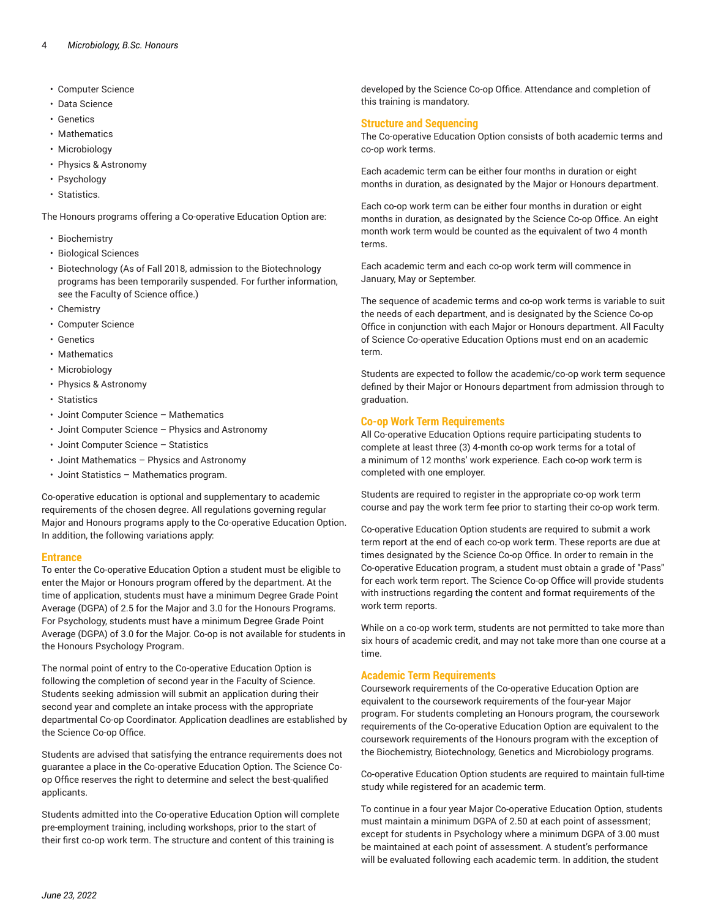- Computer Science
- Data Science
- Genetics
- Mathematics
- Microbiology
- Physics & Astronomy
- Psychology
- Statistics.

The Honours programs offering a Co-operative Education Option are:

- Biochemistry
- Biological Sciences
- Biotechnology (As of Fall 2018, admission to the Biotechnology programs has been temporarily suspended. For further information, see the Faculty of Science office.)
- Chemistry
- Computer Science
- Genetics
- Mathematics
- Microbiology
- Physics & Astronomy
- Statistics
- Joint Computer Science Mathematics
- Joint Computer Science Physics and Astronomy
- Joint Computer Science Statistics
- Joint Mathematics Physics and Astronomy
- Joint Statistics Mathematics program.

Co-operative education is optional and supplementary to academic requirements of the chosen degree. All regulations governing regular Major and Honours programs apply to the Co-operative Education Option. In addition, the following variations apply:

#### **Entrance**

To enter the Co-operative Education Option a student must be eligible to enter the Major or Honours program offered by the department. At the time of application, students must have a minimum Degree Grade Point Average (DGPA) of 2.5 for the Major and 3.0 for the Honours Programs. For Psychology, students must have a minimum Degree Grade Point Average (DGPA) of 3.0 for the Major. Co-op is not available for students in the Honours Psychology Program.

The normal point of entry to the Co-operative Education Option is following the completion of second year in the Faculty of Science. Students seeking admission will submit an application during their second year and complete an intake process with the appropriate departmental Co-op Coordinator. Application deadlines are established by the Science Co-op Office.

Students are advised that satisfying the entrance requirements does not guarantee a place in the Co-operative Education Option. The Science Coop Office reserves the right to determine and select the best-qualified applicants.

Students admitted into the Co-operative Education Option will complete pre-employment training, including workshops, prior to the start of their first co-op work term. The structure and content of this training is

developed by the Science Co-op Office. Attendance and completion of this training is mandatory.

#### **Structure and Sequencing**

The Co-operative Education Option consists of both academic terms and co-op work terms.

Each academic term can be either four months in duration or eight months in duration, as designated by the Major or Honours department.

Each co-op work term can be either four months in duration or eight months in duration, as designated by the Science Co-op Office. An eight month work term would be counted as the equivalent of two 4 month terms.

Each academic term and each co-op work term will commence in January, May or September.

The sequence of academic terms and co-op work terms is variable to suit the needs of each department, and is designated by the Science Co-op Office in conjunction with each Major or Honours department. All Faculty of Science Co-operative Education Options must end on an academic term.

Students are expected to follow the academic/co-op work term sequence defined by their Major or Honours department from admission through to graduation.

#### **Co-op Work Term Requirements**

All Co-operative Education Options require participating students to complete at least three (3) 4-month co-op work terms for a total of a minimum of 12 months' work experience. Each co-op work term is completed with one employer.

Students are required to register in the appropriate co-op work term course and pay the work term fee prior to starting their co-op work term.

Co-operative Education Option students are required to submit a work term report at the end of each co-op work term. These reports are due at times designated by the Science Co-op Office. In order to remain in the Co-operative Education program, a student must obtain a grade of "Pass" for each work term report. The Science Co-op Office will provide students with instructions regarding the content and format requirements of the work term reports.

While on a co-op work term, students are not permitted to take more than six hours of academic credit, and may not take more than one course at a time.

#### **Academic Term Requirements**

Coursework requirements of the Co-operative Education Option are equivalent to the coursework requirements of the four-year Major program. For students completing an Honours program, the coursework requirements of the Co-operative Education Option are equivalent to the coursework requirements of the Honours program with the exception of the Biochemistry, Biotechnology, Genetics and Microbiology programs.

Co-operative Education Option students are required to maintain full-time study while registered for an academic term.

To continue in a four year Major Co-operative Education Option, students must maintain a minimum DGPA of 2.50 at each point of assessment; except for students in Psychology where a minimum DGPA of 3.00 must be maintained at each point of assessment. A student's performance will be evaluated following each academic term. In addition, the student